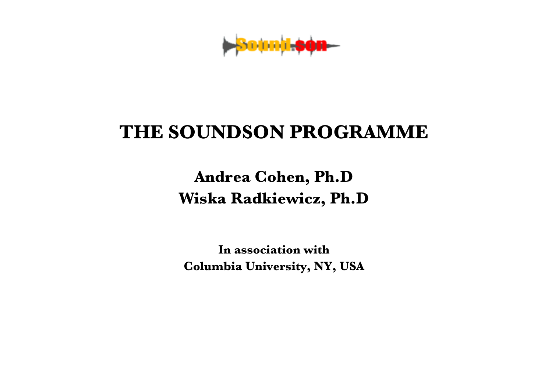**Sound**-s

## **THE SOUNDSON PROGRAMME**

**Andrea Cohen, Ph.D Wiska Radkiewicz, Ph.D**

**In association with Columbia University, NY, USA**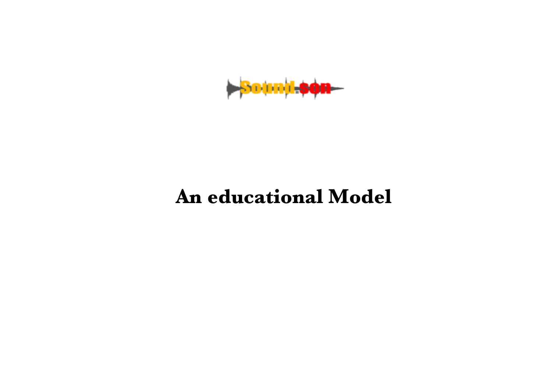

## **An educational Model**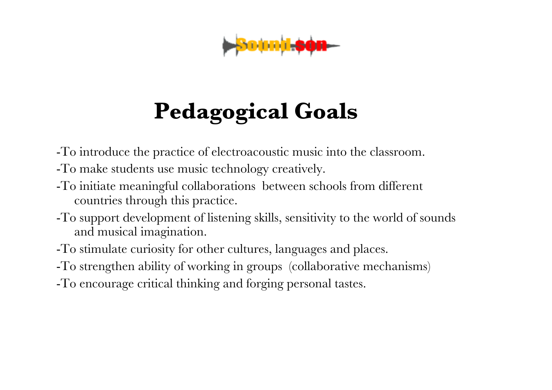

# **Pedagogical Goals**

- -To introduce the practice of electroacoustic music into the classroom.
- -To make students use music technology creatively.
- -To initiate meaningful collaborations between schools from different countries through this practice.
- -To support development of listening skills, sensitivity to the world of sounds and musical imagination.
- -To stimulate curiosity for other cultures, languages and places.
- -To strengthen ability of working in groups (collaborative mechanisms)
- -To encourage critical thinking and forging personal tastes.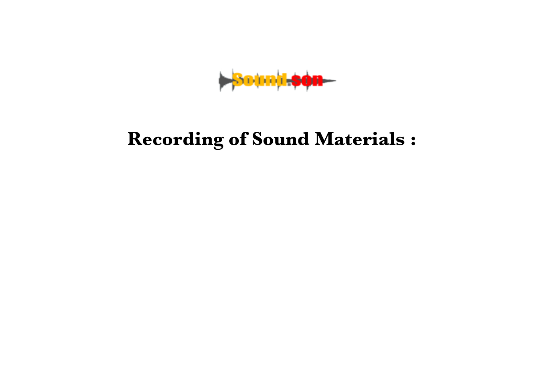**Sound son** 

## **Recording of Sound Materials :**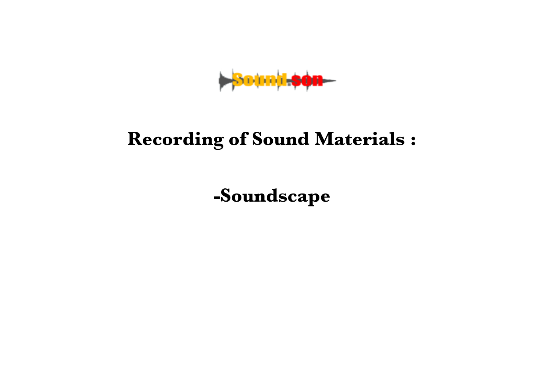**Sound son** 

### **Recording of Sound Materials :**

**-Soundscape**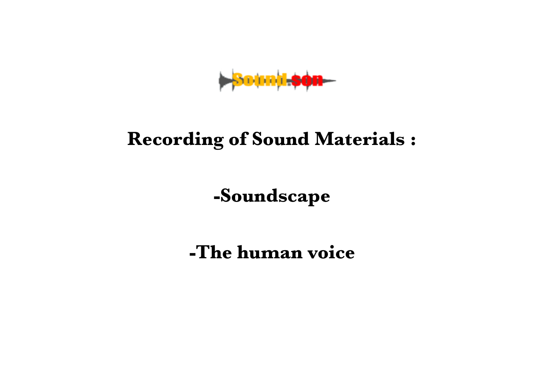**Sound son** 

### **Recording of Sound Materials :**

**-Soundscape**

**-The human voice**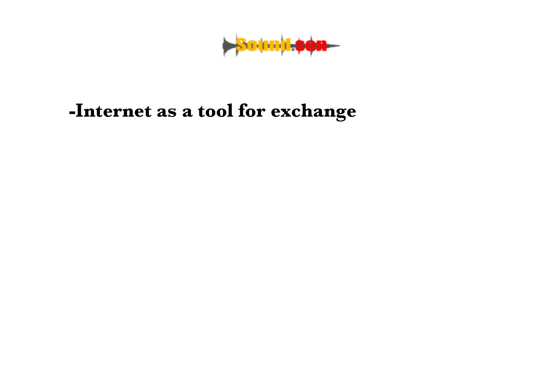**Sound son**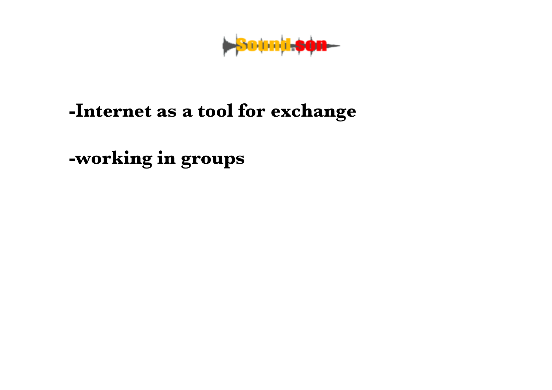**Sound son** 

**-working in groups**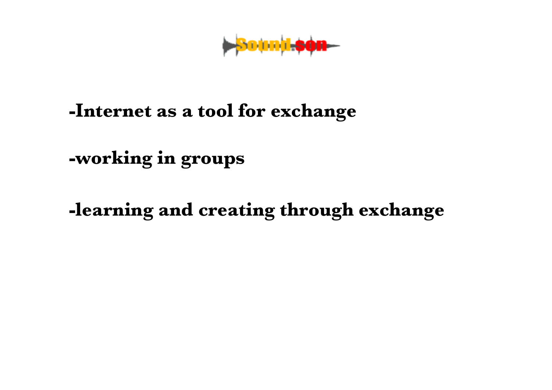**Sound Son** 

**-working in groups**

**-learning and creating through exchange**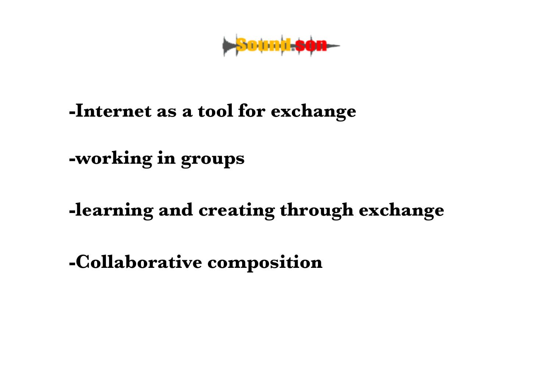**>**Sound-son-

**-working in groups**

### **-learning and creating through exchange**

**-Collaborative composition**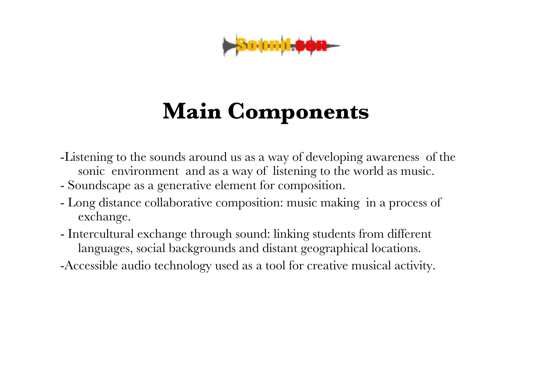

# **Main Components**

- -Listening to the sounds around us as a way of developing awareness of the sonic environmentand as a way of listening to the world as music.
- Soundscape as a generative element for composition.
- Long distance collaborative composition: music making in a process of exchange.
- Intercultural exchange through sound: linking students from different languages, social backgrounds and distant geographical locations.
- -Accessible audio technology used as a tool for creative musical activity.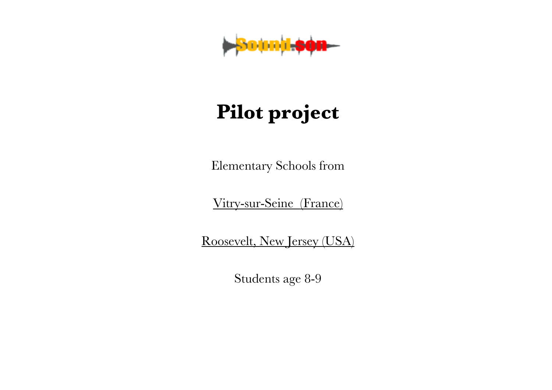

## **Pilot project**

Elementary Schools from

Vitry-sur-Seine (France)

Roosevelt, New Jersey (USA)

Students age 8-9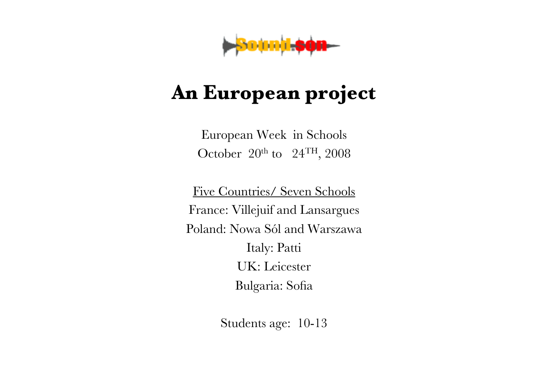

## **An European project**

European Week in Schools October  $20<sup>th</sup>$  to  $24<sup>TH</sup>$ , 2008

Five Countries/ Seven Schools France: Villejuif and Lansargues Poland: Nowa Sól and Warszawa Italy: Patti UK: Leicester Bulgaria: Sofia

Students age: 10-13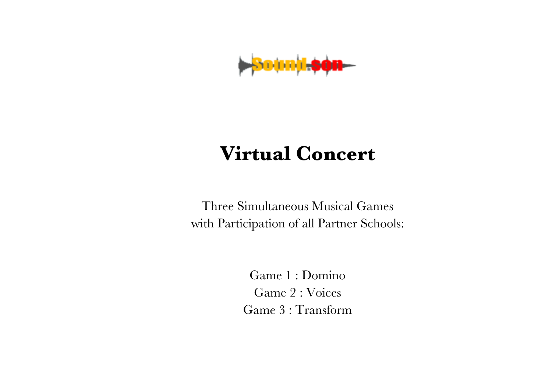

## **Virtual Concert**

Three Simultaneous Musical Games with Participation of all Partner Schools:

> Game 1 : Domino Game 2 : Voices Game 3 : Transform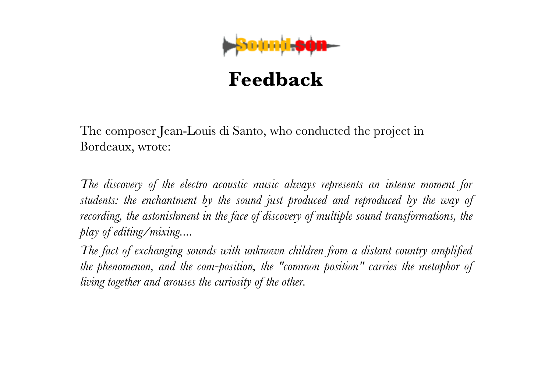

The composer Jean-Louis di Santo, who conducted the project in Bordeaux, wrote:

*The discovery of the electro acoustic music always represents an intense moment for students: the enchantment by the sound just produced and reproduced by the way of recording, the astonishment in the face of discovery of multiple sound transformations, the play of editing/mixing....*

*The fact of exchanging sounds with unknown children from a distant country amplified the phenomenon, and the com-position, the "common position" carries the metaphor of living together and arouses the curiosity of the other.*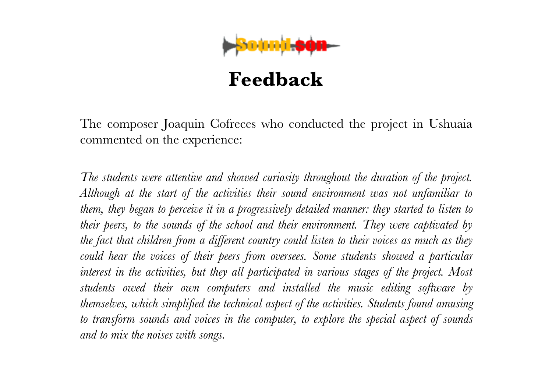

The composer Joaquin Cofreces who conducted the project in Ushuaia commented on the experience:

*The students were attentive and showed curiosity throughout the duration of the project. Although at the start of the activities their sound environment was not unfamiliar to them, they began to perceive it in a progressively detailed manner: they started to listen to their peers, to the sounds of the school and their environment. They were captivated by the fact that children from a different country could listen to their voices as much as they could hear the voices of their peers from oversees. Some students showed a particular interest in the activities, but they all participated in various stages of the project. Most students owed their own computers and installed the music editing software by themselves, which simplified the technical aspect of the activities. Students found amusing to transform sounds and voices in the computer, to explore the special aspect of sounds and to mix the noises with songs.*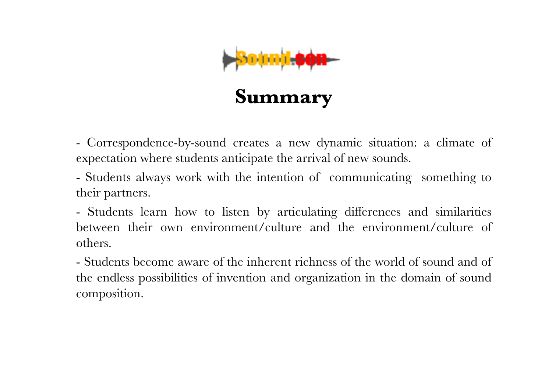

- Correspondence-by-sound creates a new dynamic situation: a climate of expectation where students anticipate the arrival of new sounds.

- Students always work with the intention of communicating something to their partners.

- Students learn how to listen by articulating differences and similarities between their own environment/culture and the environment/culture of others.

- Students become aware of the inherent richness of the world of sound and of the endless possibilities of invention and organization in the domain of sound composition.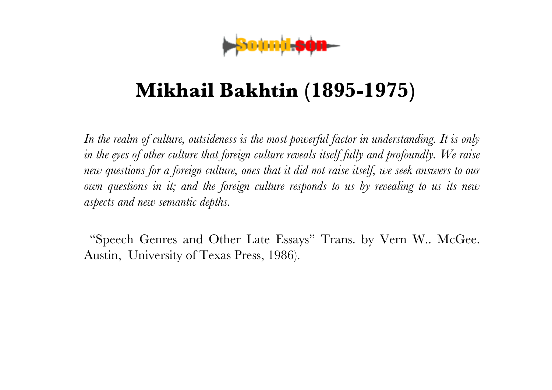

## **Mikhail Bakhtin (1895-1975)**

*In the realm of culture, outsideness is the most powerful factor in understanding. It is only in the eyes of other culture that foreign culture reveals itself fully and profoundly. We raise new questions for a foreign culture, ones that it did not raise itself, we seek answers to our own questions in it; and the foreign culture responds to us by revealing to us its new aspects and new semantic depths.*

"Speech Genres and Other Late Essays" Trans. by Vern W.. McGee. Austin, University of Texas Press, 1986).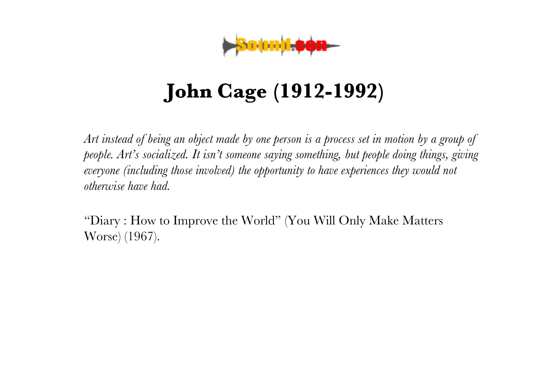

## **John Cage (1912-1992)**

*Art instead of being an object made by one person is a process set in motion by a group of people. Art's socialized. It isn't someone saying something, but people doing things, giving everyone (including those involved) the opportunity to have experiences they would not otherwise have had.*

"Diary : How to Improve the World" (You Will Only Make Matters Worse) (1967).